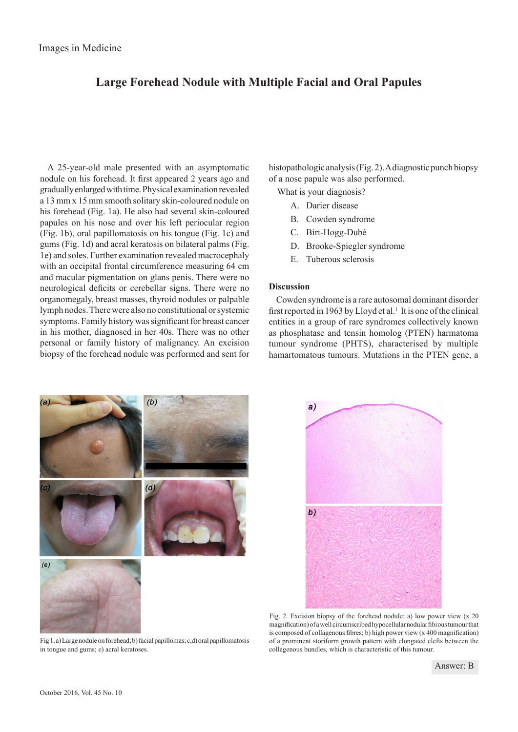## **Large Forehead Nodule with Multiple Facial and Oral Papules**

A 25-year-old male presented with an asymptomatic nodule on his forehead. It first appeared 2 years ago and gradually enlarged with time. Physical examination revealed a 13 mm x 15 mm smooth solitary skin-coloured nodule on his forehead (Fig. 1a). He also had several skin-coloured papules on his nose and over his left periocular region (Fig. 1b), oral papillomatosis on his tongue (Fig. 1c) and gums (Fig. 1d) and acral keratosis on bilateral palms (Fig. 1e) and soles. Further examination revealed macrocephaly with an occipital frontal circumference measuring 64 cm and macular pigmentation on glans penis. There were no neurological deficits or cerebellar signs. There were no organomegaly, breast masses, thyroid nodules or palpable lymph nodes. There were also no constitutional or systemic symptoms. Family history was significant for breast cancer in his mother, diagnosed in her 40s. There was no other personal or family history of malignancy. An excision biopsy of the forehead nodule was performed and sent for histopathologic analysis (Fig. 2). A diagnostic punch biopsy of a nose papule was also performed.

What is your diagnosis?

- A. Darier disease
- B. Cowden syndrome
- C. Birt-Hogg-Dubé
- D. Brooke-Spiegler syndrome
- E. Tuberous sclerosis

## **Discussion**

Cowden syndrome is a rare autosomal dominant disorder first reported in 1963 by Lloyd et al.<sup>1</sup> It is one of the clinical entities in a group of rare syndromes collectively known as phosphatase and tensin homolog (PTEN) harmatoma tumour syndrome (PHTS), characterised by multiple hamartomatous tumours. Mutations in the PTEN gene, a



Fig 1. a) Large nodule on forehead; b) facial papillomas; c,d) oral papillomatosis in tongue and gums; e) acral keratoses.



Fig. 2. Excision biopsy of the forehead nodule: a) low power view (x 20 magnification) of a well circumscribed hypocellular nodular fibrous tumour that is composed of collagenous fibres; b) high power view (x 400 magnification) of a prominent storiform growth pattern with elongated clefts between the collagenous bundles, which is characteristic of this tumour.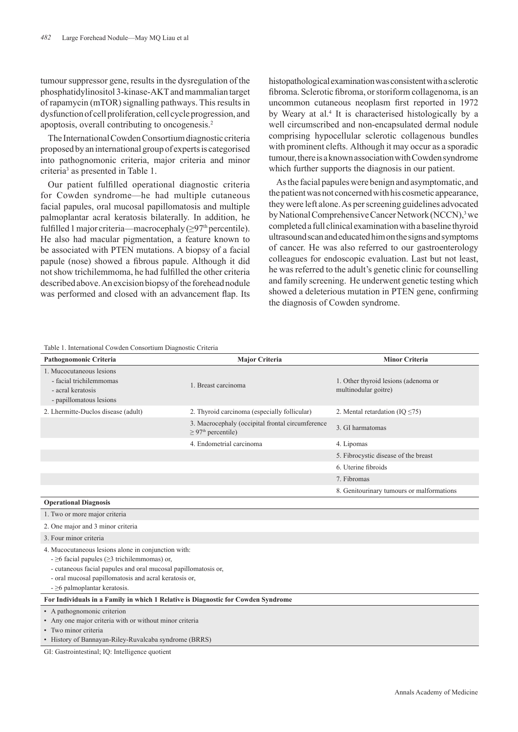tumour suppressor gene, results in the dysregulation of the phosphatidylinositol 3-kinase-AKT and mammalian target of rapamycin (mTOR) signalling pathways. This results in dysfunction of cell proliferation, cell cycle progression, and apoptosis, overall contributing to oncogenesis.2

The International Cowden Consortium diagnostic criteria proposed by an international group of experts is categorised into pathognomonic criteria, major criteria and minor criteria<sup>3</sup> as presented in Table 1.

Our patient fulfilled operational diagnostic criteria for Cowden syndrome—he had multiple cutaneous facial papules, oral mucosal papillomatosis and multiple palmoplantar acral keratosis bilaterally. In addition, he fulfilled 1 major criteria—macrocephaly ( $\geq$ 97<sup>th</sup> percentile). He also had macular pigmentation, a feature known to be associated with PTEN mutations. A biopsy of a facial papule (nose) showed a fibrous papule. Although it did not show trichilemmoma, he had fulfilled the other criteria described above. An excision biopsy of the forehead nodule was performed and closed with an advancement flap. Its histopathological examination was consistent with a sclerotic fibroma. Sclerotic fibroma, or storiform collagenoma, is an uncommon cutaneous neoplasm first reported in 1972 by Weary at al.<sup>4</sup> It is characterised histologically by a well circumscribed and non-encapsulated dermal nodule comprising hypocellular sclerotic collagenous bundles with prominent clefts. Although it may occur as a sporadic tumour, there is a known association with Cowden syndrome which further supports the diagnosis in our patient.

As the facial papules were benign and asymptomatic, and the patient was not concerned with his cosmetic appearance, they were left alone. As per screening guidelines advocated by National Comprehensive Cancer Network (NCCN),<sup>3</sup> we completed a full clinical examination with a baseline thyroid ultrasound scan and educated him on the signs and symptoms of cancer. He was also referred to our gastroenterology colleagues for endoscopic evaluation. Last but not least, he was referred to the adult's genetic clinic for counselling and family screening. He underwent genetic testing which showed a deleterious mutation in PTEN gene, confirming the diagnosis of Cowden syndrome.

## Table 1. International Cowden Consortium Diagnostic Criteria

| radio 1. micrimuonal Cowaen Consortium Diagnostic Criteria                                                                                                                                                                                                                       |                                                                                         |                                                              |
|----------------------------------------------------------------------------------------------------------------------------------------------------------------------------------------------------------------------------------------------------------------------------------|-----------------------------------------------------------------------------------------|--------------------------------------------------------------|
| Pathognomonic Criteria                                                                                                                                                                                                                                                           | <b>Major Criteria</b>                                                                   | <b>Minor Criteria</b>                                        |
| 1. Mucocutaneous lesions<br>- facial trichilemmomas<br>- acral keratosis<br>- papillomatous lesions                                                                                                                                                                              | 1. Breast carcinoma                                                                     | 1. Other thyroid lesions (adenoma or<br>multinodular goitre) |
| 2. Lhermitte-Duclos disease (adult)                                                                                                                                                                                                                                              | 2. Thyroid carcinoma (especially follicular)                                            | 2. Mental retardation (IQ $\leq$ 75)                         |
|                                                                                                                                                                                                                                                                                  | 3. Macrocephaly (occipital frontal circumference<br>$\geq$ 97 <sup>th</sup> percentile) | 3. GI harmatomas                                             |
|                                                                                                                                                                                                                                                                                  | 4. Endometrial carcinoma                                                                | 4. Lipomas                                                   |
|                                                                                                                                                                                                                                                                                  |                                                                                         | 5. Fibrocystic disease of the breast                         |
|                                                                                                                                                                                                                                                                                  |                                                                                         | 6. Uterine fibroids                                          |
|                                                                                                                                                                                                                                                                                  |                                                                                         | 7. Fibromas                                                  |
|                                                                                                                                                                                                                                                                                  |                                                                                         | 8. Genitourinary tumours or malformations                    |
| <b>Operational Diagnosis</b>                                                                                                                                                                                                                                                     |                                                                                         |                                                              |
| 1. Two or more major criteria                                                                                                                                                                                                                                                    |                                                                                         |                                                              |
| 2. One major and 3 minor criteria                                                                                                                                                                                                                                                |                                                                                         |                                                              |
| 3. Four minor criteria                                                                                                                                                                                                                                                           |                                                                                         |                                                              |
| 4. Mucocutaneous lesions alone in conjunction with:<br>$- \geq 6$ facial papules ( $\geq 3$ trichilemmomas) or,<br>- cutaneous facial papules and oral mucosal papillomatosis or,<br>- oral mucosal papillomatosis and acral keratosis or,<br>$- \geq 6$ palmoplantar keratosis. |                                                                                         |                                                              |
| For Individuals in a Family in which 1 Relative is Diagnostic for Cowden Syndrome                                                                                                                                                                                                |                                                                                         |                                                              |
| • A pathognomonic criterion<br>• Any one major criteria with or without minor criteria<br>• Two minor criteria<br>• History of Bannayan-Riley-Ruvalcaba syndrome (BRRS)                                                                                                          |                                                                                         |                                                              |

GI: Gastrointestinal; IQ: Intelligence quotient